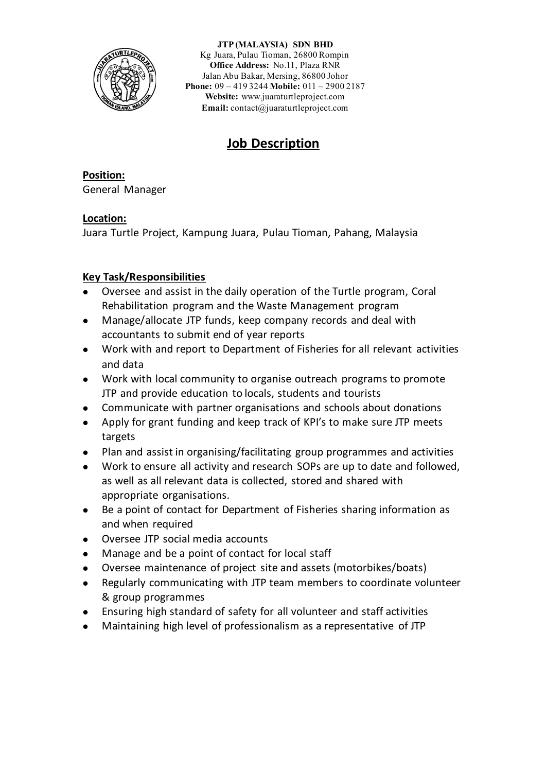

**JTP (MALAYSIA) SDN BHD** Kg Juara, Pulau Tioman, 26800 Rompin **Office Address:** No.11, Plaza RNR Jalan Abu Bakar, Mersing, 86800 Johor **Phone:** 09 – 419 3244 **Mobile:** 011 – 2900 2187 **Website:** [www.juaraturtleproject.com](http://www.juaraturtleproject.com/) **Email:** [contact@juaraturtleproject.com](mailto:contact@juaraturtleproject.com)

# **Job Description**

**Position:** General Manager

# **Location:**

Juara Turtle Project, Kampung Juara, Pulau Tioman, Pahang, Malaysia

# **Key Task/Responsibilities**

- ⚫ Oversee and assist in the daily operation of the Turtle program, Coral Rehabilitation program and the Waste Management program
- ⚫ Manage/allocate JTP funds, keep company records and deal with accountants to submit end of year reports
- ⚫ Work with and report to Department of Fisheries for all relevant activities and data
- ⚫ Work with local community to organise outreach programs to promote JTP and provide education to locals, students and tourists
- ⚫ Communicate with partner organisations and schools about donations
- ⚫ Apply for grant funding and keep track of KPI's to make sure JTP meets targets
- ⚫ Plan and assist in organising/facilitating group programmes and activities
- ⚫ Work to ensure all activity and research SOPs are up to date and followed, as well as all relevant data is collected, stored and shared with appropriate organisations.
- Be a point of contact for Department of Fisheries sharing information as and when required
- ⚫ Oversee JTP social media accounts
- ⚫ Manage and be a point of contact for local staff
- ⚫ Oversee maintenance of project site and assets (motorbikes/boats)
- ⚫ Regularly communicating with JTP team members to coordinate volunteer & group programmes
- ⚫ Ensuring high standard of safety for all volunteer and staff activities
- ⚫ Maintaining high level of professionalism as a representative of JTP